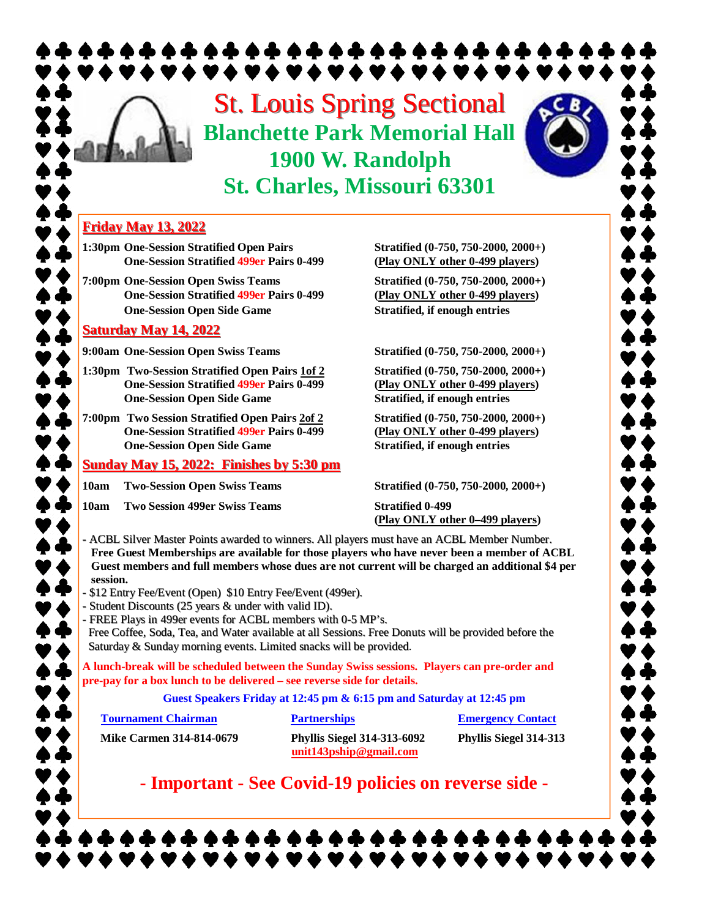# St. Louis Spring Sectional **Blanchette Park Memorial Hall 1900 W. Randolph St. Charles, Missouri 63301**



**1:30pm One-Session Stratified Open Pairs Stratified (0-750, 750-2000, 2000+) One-Session Stratified 499er Pairs 0-499 (Play ONLY other 0-499 players)**

**7:00pm One-Session Open Swiss Teams Stratified (0-750, 750-2000, 2000+) One-Session Stratified 499er Pairs 0-499 (Play ONLY other 0-499 players) One-Session Open Side Game Stratified, if enough entries**

#### **Saturday May 14, 2022**

**9:00am One-Session Open Swiss Teams Stratified (0-750, 750-2000, 2000+)**

- **1:30pm Two-Session Stratified Open Pairs 1of 2 Stratified (0-750, 750-2000, 2000+) One-Session Stratified 499er Pairs 0-499 (Play ONLY other 0-499 players) One-Session Open Side Game Stratified, if enough entries**
- **7:00pm Two Session Stratified Open Pairs 2of 2 Stratified (0-750, 750-2000, 2000+) One-Session Stratified 499er Pairs 0-499 (Play ONLY other 0-499 players) One-Session Open Side Game Stratified, if enough entries**

#### **Sunday May 15, 2022: Finishes by 5:30 pm**

**10am Two-Session Open Swiss Teams Stratified (0-750, 750-2000, 2000+)**

**10am Two Session 499er Swiss Teams Stratified 0-499**

**(Play ONLY other 0–499 players)**

**-** ACBL Silver Master Points awarded to winners. All players must have an ACBL Member Number. **Free Guest Memberships are available for those players who have never been a member of ACBL Guest members and full members whose dues are not current will be charged an additional \$4 per session.**

- \$12 Entry Fee/Event (Open) \$10 Entry Fee/Event (499er).
- Student Discounts (25 years & under with valid ID).
- FREE Plays in 499er events for ACBL members with 0-5 MP's.

Free Coffee, Soda, Tea, and Water available at all Sessions. Free Donuts will be provided before the Saturday & Sunday morning events. Limited snacks will be provided.

**A lunch-break will be scheduled between the Sunday Swiss sessions. Players can pre-order and pre-pay for a box lunch to be delivered – see reverse side for details.**

**Guest Speakers Friday at 12:45 pm & 6:15 pm and Saturday at 12:45 pm**

**Tournament Chairman Partnerships Partnerships Emergency Contact** 

 $\bullet$  defined as

**Mike Carmen 314-814-0679 Phyllis Siegel 314-313-6092 Phyllis Siegel 314-313**

**unit143pship@gmail.com**

**- Important - See Covid-19 policies on reverse side -**